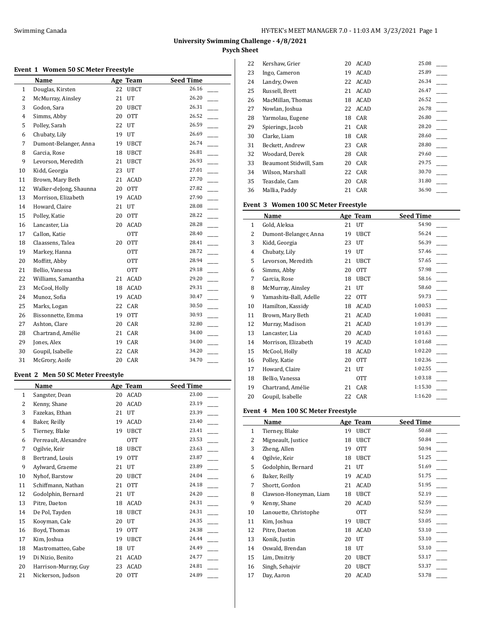## **Event 1 Women 50 SC Meter Freestyle**

|                | Name                   |    | Age Team    | <b>Seed Time</b> |
|----------------|------------------------|----|-------------|------------------|
| $\mathbf{1}$   | Douglas, Kirsten       | 22 | <b>UBCT</b> | 26.16            |
| 2              | McMurray, Ainsley      | 21 | UT          | 26.20            |
| 3              | Godon, Sara            | 20 | <b>UBCT</b> | 26.31            |
| $\overline{4}$ | Simms, Abby            | 20 | <b>OTT</b>  | 26.52            |
| 5              | Polley, Sarah          | 22 | UT          | 26.59            |
| 6              | Chubaty, Lily          | 19 | UT          | 26.69            |
| 7              | Dumont-Belanger, Anna  | 19 | <b>UBCT</b> | 26.74            |
| 8              | Garcia, Rose           | 18 | <b>UBCT</b> | 26.81            |
| 9              | Levorson, Meredith     | 21 | <b>UBCT</b> | 26.93            |
| 10             | Kidd, Georgia          | 23 | UT          | 27.01            |
| 11             | Brown, Mary Beth       | 21 | ACAD        | 27.70            |
| 12             | Walker-deJong, Shaunna | 20 | <b>OTT</b>  | 27.82            |
| 13             | Morrison, Elizabeth    | 19 | <b>ACAD</b> | 27.90            |
| 14             | Howard, Claire         | 21 | UT          | 28.08            |
| 15             | Polley, Katie          | 20 | <b>OTT</b>  | 28.22            |
| 16             | Lancaster, Lia         | 20 | ACAD        | 28.28            |
| 17             | Callon, Katie          |    | <b>OTT</b>  | 28.40            |
| 18             | Claassens, Talea       | 20 | <b>OTT</b>  | 28.41            |
| 19             | Markey, Hanna          |    | <b>OTT</b>  | 28.72            |
| 20             | Moffitt, Abby          |    | <b>OTT</b>  | 28.94            |
| 21             | Bellio, Vanessa        |    | <b>OTT</b>  | 29.18            |
| 22             | Williams, Samantha     | 21 | ACAD        | 29.20            |
| 23             | McCool, Holly          | 18 | ACAD        | 29.31            |
| 24             | Munoz, Sofia           | 19 | ACAD        | 30.47            |
| 25             | Marks, Logan           | 22 | CAR         | 30.50            |
| 26             | Bissonnette, Emma      | 19 | <b>OTT</b>  | 30.93            |
| 27             | Ashton, Clare          | 20 | CAR         | 32.80            |
| 28             | Chartrand, Amélie      | 21 | CAR         | 34.00            |
| 29             | Jones, Alex            | 19 | CAR         | 34.00            |
| 30             | Goupil, Isabelle       | 22 | CAR         | 34.20            |
| 31             | McGrory, Aoife         | 20 | CAR         | 34.70            |

## **Event 2 Men 50 SC Meter Freestyle**

|    | Name                 |    | Age Team    | <b>Seed Time</b> |
|----|----------------------|----|-------------|------------------|
| 1  | Sangster, Dean       | 20 | ACAD        | 23.00            |
| 2  | Kenny, Shane         | 20 | ACAD        | 23.19            |
| 3  | Fazekas, Ethan       | 21 | UT          | 23.39            |
| 4  | Baker, Reilly        | 19 | ACAD        | 23.40            |
| 5  | Tierney, Blake       | 19 | <b>UBCT</b> | 23.41            |
| 6  | Perreault, Alexandre |    | <b>OTT</b>  | 23.53            |
| 7  | Ogilvie, Keir        | 18 | <b>UBCT</b> | 23.63            |
| 8  | Bertrand, Louis      | 19 | <b>OTT</b>  | 23.87            |
| 9  | Aylward, Graeme      | 21 | UT          | 23.89            |
| 10 | Nyhof, Barstow       | 20 | <b>UBCT</b> | 24.04            |
| 11 | Schiffmann, Nathan   | 21 | <b>OTT</b>  | 24.18            |
| 12 | Godolphin, Bernard   | 21 | UT          | 24.20            |
| 13 | Pitre, Daeton        | 18 | ACAD        | 24.31            |
| 14 | De Pol, Tayden       | 18 | <b>UBCT</b> | 24.31            |
| 15 | Kooyman, Cale        | 20 | UT          | 24.35            |
| 16 | Boyd, Thomas         | 19 | <b>OTT</b>  | 24.38            |
| 17 | Kim, Joshua          | 19 | <b>UBCT</b> | 24.44            |
| 18 | Mastromatteo, Gabe   | 18 | UT          | 24.49            |
| 19 | Di Nizio, Benito     | 21 | ACAD        | 24.77            |
| 20 | Harrison-Murray, Guy | 23 | ACAD        | 24.81            |
| 21 | Nickerson, Judson    | 20 | <b>OTT</b>  | 24.89            |

| 22 | Kershaw, Grier         | 20 | ACAD | 25.08 |
|----|------------------------|----|------|-------|
| 23 | Ingo, Cameron          | 19 | ACAD | 25.89 |
| 24 | Landry, Owen           | 22 | ACAD | 26.34 |
| 25 | Russell, Brett         | 21 | ACAD | 26.47 |
| 26 | MacMillan, Thomas      | 18 | ACAD | 26.52 |
| 27 | Nowlan, Joshua         | 22 | ACAD | 26.78 |
| 28 | Yarmolau, Eugene       | 18 | CAR  | 26.80 |
| 29 | Spierings, Jacob       | 21 | CAR  | 28.20 |
| 30 | Clarke, Liam           | 18 | CAR  | 28.60 |
| 31 | Beckett, Andrew        | 23 | CAR  | 28.80 |
| 32 | Woodard, Derek         | 28 | CAR  | 29.60 |
| 33 | Beaumont Stidwill, Sam | 20 | CAR  | 29.75 |
| 34 | Wilson, Marshall       | 22 | CAR  | 30.70 |
| 35 | Teasdale, Cam          | 20 | CAR  | 31.80 |
| 36 | Mallia, Paddy          | 21 | CAR  | 36.90 |

## **Event 3 Women 100 SC Meter Freestyle**

|              | Name                   |    | Age Team    | <b>Seed Time</b> |
|--------------|------------------------|----|-------------|------------------|
| $\mathbf{1}$ | Gold, Aleksa           | 21 | UT          | 54.90            |
| 2            | Dumont-Belanger, Anna  | 19 | <b>UBCT</b> | 56.24            |
| 3            | Kidd, Georgia          | 23 | UT          | 56.39            |
| 4            | Chubaty, Lily          | 19 | UT          | 57.46            |
| 5            | Levorson, Meredith     | 21 | <b>UBCT</b> | 57.65            |
| 6            | Simms, Abby            | 20 | <b>OTT</b>  | 57.98            |
| 7            | Garcia, Rose           | 18 | <b>UBCT</b> | 58.16            |
| 8            | McMurray, Ainsley      | 21 | UT          | 58.60            |
| 9            | Yamashita-Ball, Adelle | 22 | <b>OTT</b>  | 59.73            |
| 10           | Hamilton, Kassidy      | 18 | ACAD        | 1:00.53          |
| 11           | Brown, Mary Beth       | 21 | ACAD        | 1:00.81          |
| 12           | Murray, Madison        | 21 | ACAD        | 1:01.39          |
| 13           | Lancaster, Lia         | 20 | ACAD        | 1:01.63          |
| 14           | Morrison, Elizabeth    | 19 | ACAD        | 1:01.68          |
| 15           | McCool, Holly          | 18 | ACAD        | 1:02.20          |
| 16           | Polley, Katie          | 20 | <b>OTT</b>  | 1:02.36          |
| 17           | Howard, Claire         | 21 | UT          | 1:02.55          |
| 18           | Bellio, Vanessa        |    | <b>OTT</b>  | 1:03.18          |
| 19           | Chartrand, Amélie      | 21 | CAR         | 1:15.30          |
| 20           | Goupil, Isabelle       | 22 | CAR         | 1:16.20          |

## **Event 4 Men 100 SC Meter Freestyle**

|    | Name                   |    | Age Team    | <b>Seed Time</b> |
|----|------------------------|----|-------------|------------------|
| 1  | Tierney, Blake         | 19 | <b>UBCT</b> | 50.68            |
| 2  | Migneault, Justice     | 18 | <b>UBCT</b> | 50.84            |
| 3  | Zheng, Allen           | 19 | <b>OTT</b>  | 50.94            |
| 4  | Ogilvie, Keir          | 18 | <b>UBCT</b> | 51.25            |
| 5  | Godolphin, Bernard     | 21 | UT          | 51.69            |
| 6  | Baker, Reilly          | 19 | ACAD        | 51.75            |
| 7  | Shortt, Gordon         | 21 | ACAD        | 51.95            |
| 8  | Clawson-Honeyman, Liam | 18 | <b>UBCT</b> | 52.19            |
| 9  | Kenny, Shane           | 20 | <b>ACAD</b> | 52.59            |
| 10 | Lanouette, Christophe  |    | 0TT         | 52.59            |
| 11 | Kim, Joshua            | 19 | UBCT        | 53.05            |
| 12 | Pitre, Daeton          | 18 | ACAD        | 53.10            |
| 13 | Konik, Justin          | 20 | UT          | 53.10            |
| 14 | Oswald, Brendan        | 18 | UT          | 53.10            |
| 15 | Lim, Dmitriy           | 20 | <b>UBCT</b> | 53.17            |
| 16 | Singh, Sehajvir        | 20 | <b>UBCT</b> | 53.37            |
| 17 | Day, Aaron             | 20 | <b>ACAD</b> | 53.78            |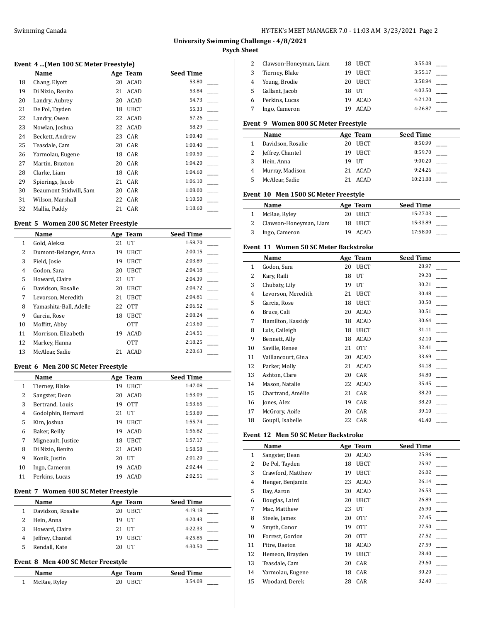## **Event 4 ...(Men 100 SC Meter Freestyle)**

|    | Name                   |    | Age Team    | <b>Seed Time</b> |
|----|------------------------|----|-------------|------------------|
| 18 | Chang, Elyott          | 20 | ACAD        | 53.80            |
| 19 | Di Nizio, Benito       | 21 | ACAD        | 53.84            |
| 20 | Landry, Aubrey         | 20 | <b>ACAD</b> | 54.73            |
| 21 | De Pol, Tayden         | 18 | <b>UBCT</b> | 55.33            |
| 22 | Landry, Owen           | 22 | ACAD        | 57.26            |
| 23 | Nowlan, Joshua         | 22 | ACAD        | 58.29            |
| 24 | Beckett, Andrew        | 23 | CAR         | 1:00.40          |
| 25 | Teasdale, Cam          | 20 | CAR         | 1:00.40          |
| 26 | Yarmolau, Eugene       | 18 | CAR         | 1:00.50          |
| 27 | Martin, Braxton        | 20 | CAR         | 1:04.20          |
| 28 | Clarke, Liam           | 18 | CAR         | 1:04.60          |
| 29 | Spierings, Jacob       | 21 | CAR         | 1:06.10          |
| 30 | Beaumont Stidwill, Sam | 20 | CAR         | 1:08.00          |
| 31 | Wilson, Marshall       |    | 22 CAR      | 1:10.50          |
| 32 | Mallia, Paddy          | 21 | CAR         | 1:18.60          |

#### **Event 5 Women 200 SC Meter Freestyle**

|                | Name                   |    | Age Team        | <b>Seed Time</b> |
|----------------|------------------------|----|-----------------|------------------|
| 1              | Gold, Aleksa           | 21 | UT              | 1:58.70          |
| 2              | Dumont-Belanger, Anna  | 19 | <b>UBCT</b>     | 2:00.15          |
| 3              | Field, Josie           | 19 | <b>UBCT</b>     | 2:03.89          |
| $\overline{4}$ | Godon, Sara            | 20 | <b>UBCT</b>     | 2:04.18          |
| 5              | Howard, Claire         | 21 | $_{\text{IIT}}$ | 2:04.39          |
| 6              | Davidson, Rosalie      | 20 | <b>UBCT</b>     | 2:04.72          |
| 7              | Levorson, Meredith     | 21 | <b>UBCT</b>     | 2:04.81          |
| 8              | Yamashita-Ball, Adelle | 22 | <b>OTT</b>      | 2:06.52          |
| 9              | Garcia, Rose           | 18 | <b>UBCT</b>     | 2:08.24          |
| 10             | Moffitt, Abby          |    | 0TT             | 2:13.60          |
| 11             | Morrison, Elizabeth    | 19 | <b>ACAD</b>     | 2:14.51          |
| 12             | Markey, Hanna          |    | <b>OTT</b>      | 2:18.25          |
| 13             | McAlear, Sadie         | 21 | ACAD            | 2:20.63          |

## **Event 6 Men 200 SC Meter Freestyle**

|    | Name               |    | Age Team        | <b>Seed Time</b> |
|----|--------------------|----|-----------------|------------------|
| 1  | Tierney, Blake     | 19 | <b>UBCT</b>     | 1:47.08          |
| 2  | Sangster, Dean     | 20 | <b>ACAD</b>     | 1:53.09          |
| 3  | Bertrand, Louis    | 19 | <b>OTT</b>      | 1:53.65          |
| 4  | Godolphin, Bernard | 21 | $_{\text{IIT}}$ | 1:53.89          |
| 5  | Kim, Joshua        | 19 | <b>UBCT</b>     | 1:55.74          |
| 6  | Baker, Reilly      | 19 | <b>ACAD</b>     | 1:56.82          |
| 7  | Migneault, Justice | 18 | <b>UBCT</b>     | 1:57.17          |
| 8  | Di Nizio, Benito   | 21 | <b>ACAD</b>     | 1:58.58          |
| 9  | Konik, Justin      | 20 | UT              | 2:01.20          |
| 10 | Ingo, Cameron      | 19 | <b>ACAD</b>     | 2:02.44          |
| 11 | Perkins, Lucas     | 19 | <b>ACAD</b>     | 2:02.51          |

#### **Event 7 Women 400 SC Meter Freestyle**

| Name              |    | Age Team    | <b>Seed Time</b> |  |
|-------------------|----|-------------|------------------|--|
| Davidson, Rosalie | 20 | UBCT        | 4:19.18          |  |
| Hein, Anna        |    | 19 UT       | 4:20.43          |  |
| Howard, Claire    |    | 21 UT       | 4:22.33          |  |
| Jeffrey, Chantel  | 19 | <b>UBCT</b> | 4:25.85          |  |
| Rendall, Kate     | 20 | UT          | 4:30.50          |  |

### **Event 8 Men 400 SC Meter Freestyle**

| Name         | Age Team | <b>Seed Time</b> |
|--------------|----------|------------------|
| McRae, Ryley | 20 UBCT  | 3:54.08          |

|   | Clawson-Honeyman, Liam | UBCT<br>18.       | 3:55.08 |
|---|------------------------|-------------------|---------|
|   | Tierney, Blake         | <b>UBCT</b><br>19 | 3:55.17 |
| 4 | Young, Brodie          | UBCT<br>20        | 3:58.94 |
| 5 | Gallant, Jacob         | 18 UT             | 4:03.50 |
| 6 | Perkins, Lucas         | ACAD<br>19        | 4:21.20 |
|   | Ingo, Cameron          | ACAD              | 4:26.87 |

#### **Event 9 Women 800 SC Meter Freestyle**

|   | Name              |     | Age Team    | <b>Seed Time</b> |
|---|-------------------|-----|-------------|------------------|
|   | Davidson, Rosalie | 20. | UBCT        | 8:50.99          |
|   | Jeffrey, Chantel  | 19  | UBCT        | 8:59.70          |
|   | Hein, Anna        |     | 19 UT       | 9:00.20          |
| 4 | Murray, Madison   |     | 21 ACAD     | 9:24.26          |
|   | McAlear, Sadie    |     | <b>ACAD</b> | 10:21.88         |

### **Event 10 Men 1500 SC Meter Freestyle**

| <b>Name</b>            | Age Team | <b>Seed Time</b> |
|------------------------|----------|------------------|
| McRae, Ryley           | 20 UBCT  | 15:27.03         |
| Clawson-Honeyman, Liam | 18 UBCT  | 15:33.89         |
| Ingo, Cameron          | 19 ACAD  | 17:58.00         |

#### **Event 11 Women 50 SC Meter Backstroke**

|              | Name               |    | Age Team    | <b>Seed Time</b> |
|--------------|--------------------|----|-------------|------------------|
| $\mathbf{1}$ | Godon, Sara        | 20 | <b>UBCT</b> | 28.97            |
| 2            | Kary, Raili        | 18 | UT          | 29.20            |
| 3            | Chubaty, Lily      | 19 | UT          | 30.21            |
| 4            | Levorson, Meredith | 21 | <b>UBCT</b> | 30.48            |
| 5            | Garcia, Rose       | 18 | <b>UBCT</b> | 30.50            |
| 6            | Bruce, Cali        | 20 | <b>ACAD</b> | 30.51            |
| 7            | Hamilton, Kassidy  | 18 | ACAD        | 30.64            |
| 8            | Luis, Caileigh     | 18 | <b>UBCT</b> | 31.11            |
| 9            | Bennett, Ally      | 18 | ACAD        | 32.10            |
| 10           | Saville, Renee     | 21 | <b>OTT</b>  | 32.41            |
| 11           | Vaillancourt, Gina | 20 | ACAD        | 33.69            |
| 12           | Parker, Molly      | 21 | <b>ACAD</b> | 34.18            |
| 13           | Ashton, Clare      | 20 | CAR         | 34.80            |
| 14           | Mason, Natalie     | 22 | ACAD        | 35.45            |
| 15           | Chartrand, Amélie  | 21 | CAR         | 38.20            |
| 16           | Jones, Alex        | 19 | CAR         | 38.20            |
| 17           | McGrory, Aoife     | 20 | CAR         | 39.10            |
| 18           | Goupil, Isabelle   |    | 22 CAR      | 41.40            |

#### **Event 12 Men 50 SC Meter Backstroke**

|    | Name              |    | Age Team    | <b>Seed Time</b> |
|----|-------------------|----|-------------|------------------|
| 1  | Sangster, Dean    | 20 | ACAD        | 25.96            |
| 2  | De Pol, Tayden    | 18 | UBCT        | 25.97            |
| 3  | Crawford, Matthew | 19 | <b>UBCT</b> | 26.02            |
| 4  | Henger, Benjamin  | 23 | <b>ACAD</b> | 26.14            |
| 5  | Day, Aaron        | 20 | ACAD        | 26.53            |
| 6  | Douglas, Laird    | 20 | <b>UBCT</b> | 26.89            |
| 7  | Mac, Matthew      | 23 | UT          | 26.90            |
| 8  | Steele, James     | 20 | <b>OTT</b>  | 27.45            |
| 9  | Smyth, Conor      | 19 | 0TT         | 27.50            |
| 10 | Forrest, Gordon   | 20 | 0TT         | 27.52            |
| 11 | Pitre, Daeton     | 18 | <b>ACAD</b> | 27.59            |
| 12 | Hemeon, Brayden   | 19 | <b>UBCT</b> | 28.40            |
| 13 | Teasdale, Cam     | 20 | CAR         | 29.60            |
| 14 | Yarmolau, Eugene  | 18 | CAR         | 30.20            |
| 15 | Woodard, Derek    | 28 | CAR         | 32.40            |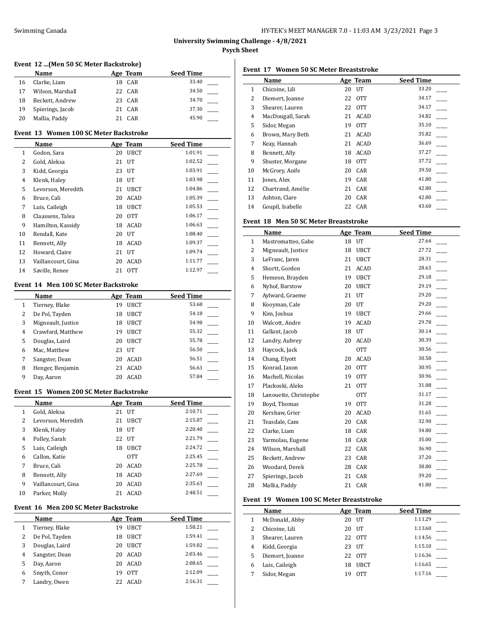$\overline{a}$ 

## **Event 12 ...(Men 50 SC Meter Backstroke)**

|    | Name             | Age Team | <b>Seed Time</b> |
|----|------------------|----------|------------------|
| 16 | Clarke, Liam     | 18 CAR   | 33.40            |
| 17 | Wilson, Marshall | 22 CAR   | 34.50            |
| 18 | Beckett, Andrew  | 23 CAR   | 34.70            |
| 19 | Spierings, Jacob | 21 CAR   | 37.30            |
| 20 | Mallia, Paddy    | CAR      | 45.90            |

## **Event 13 Women 100 SC Meter Backstroke**

|                | Name               |    | Age Team        | <b>Seed Time</b> |
|----------------|--------------------|----|-----------------|------------------|
| 1              | Godon, Sara        | 20 | <b>UBCT</b>     | 1:01.91          |
| 2              | Gold, Aleksa       | 21 | UT              | 1:02.52          |
| 3              | Kidd, Georgia      | 23 | UT              | 1:03.91          |
| $\overline{4}$ | Klenk, Haley       | 18 | $_{\text{IIT}}$ | 1:03.98          |
| 5              | Levorson, Meredith | 21 | <b>UBCT</b>     | 1:04.86          |
| 6              | Bruce, Cali        | 20 | <b>ACAD</b>     | 1:05.39          |
| 7              | Luis, Caileigh     | 18 | <b>UBCT</b>     | 1:05.53          |
| 8              | Claassens, Talea   | 20 | <b>OTT</b>      | 1:06.17          |
| 9              | Hamilton, Kassidy  | 18 | <b>ACAD</b>     | 1:06.63          |
| 10             | Rendall, Kate      | 20 | UT              | 1:08.40          |
| 11             | Bennett, Ally      | 18 | <b>ACAD</b>     | 1:09.37          |
| 12             | Howard, Claire     | 21 | UT              | 1:09.74          |
| 13             | Vaillancourt, Gina | 20 | <b>ACAD</b>     | 1:11.77          |
| 14             | Saville, Renee     | 21 | 0TT             | 1:12.97          |

## **Event 14 Men 100 SC Meter Backstroke**

|   | Name               |    | Age Team    | <b>Seed Time</b> |
|---|--------------------|----|-------------|------------------|
| 1 | Tierney, Blake     | 19 | <b>UBCT</b> | 53.68            |
| 2 | De Pol, Tayden     | 18 | <b>UBCT</b> | 54.18            |
| 3 | Migneault, Justice | 18 | <b>UBCT</b> | 54.98            |
| 4 | Crawford, Matthew  | 19 | <b>UBCT</b> | 55.32            |
| 5 | Douglas, Laird     | 20 | <b>UBCT</b> | 55.78            |
| 6 | Mac, Matthew       | 23 | UT          | 56.50            |
| 7 | Sangster, Dean     | 20 | <b>ACAD</b> | 56.51            |
| 8 | Henger, Benjamin   | 23 | ACAD        | 56.63            |
| 9 | Day, Aaron         | 20 | ACAD        | 57.84            |

#### **Event 15 Women 200 SC Meter Backstroke**

|    | Name               |    | Age Team        | <b>Seed Time</b> |
|----|--------------------|----|-----------------|------------------|
| 1  | Gold, Aleksa       | 21 | $_{\text{IIT}}$ | 2:10.71          |
| 2  | Levorson, Meredith | 21 | <b>UBCT</b>     | 2:15.87          |
| 3  | Klenk, Haley       | 18 | UT              | 2:20.40          |
| 4  | Polley, Sarah      | 22 | $_{\text{IIT}}$ | 2:21.79          |
| 5  | Luis, Caileigh     | 18 | <b>UBCT</b>     | 2:24.72          |
| 6  | Callon, Katie      |    | <b>OTT</b>      | 2:25.45          |
| 7  | Bruce, Cali        | 20 | <b>ACAD</b>     | 2:25.78          |
| 8  | Bennett, Ally      | 18 | <b>ACAD</b>     | 2:27.69          |
| 9  | Vaillancourt, Gina | 20 | <b>ACAD</b>     | 2:35.63          |
| 10 | Parker, Molly      |    | <b>ACAD</b>     | 2:48.51          |

#### **Event 16 Men 200 SC Meter Backstroke**

|   | Name           | Age Team |             | <b>Seed Time</b> |
|---|----------------|----------|-------------|------------------|
| 1 | Tierney, Blake | 19       | <b>UBCT</b> | 1:58.21          |
| 2 | De Pol, Tayden | 18       | <b>UBCT</b> | 1:59.41          |
| 3 | Douglas, Laird | 20       | <b>UBCT</b> | 1:59.82          |
| 4 | Sangster, Dean | 20       | <b>ACAD</b> | 2:03.46          |
| 5 | Day, Aaron     | 20       | ACAD        | 2:08.65          |
| 6 | Smyth, Conor   | 19       | <b>OTT</b>  | 2:12.09          |
|   | Landry, Owen   | 22       | ACAD        | 2:16.31          |

# **Event 17 Women 50 SC Meter Breaststroke**

|    | Name              |    | Age Team    | <b>Seed Time</b> |
|----|-------------------|----|-------------|------------------|
| 1  | Chicoine, Lili    | 20 | UT          | 33.20            |
| 2  | Diemert, Joanne   | 22 | 0TT         | 34.17            |
| 3  | Shearer, Lauren   |    | 22 OTT      | 34.17            |
| 4  | MacDougall, Sarah | 21 | ACAD        | 34.82            |
| 5  | Sidor, Megan      | 19 | 0TT         | 35.10            |
| 6  | Brown, Mary Beth  | 21 | <b>ACAD</b> | 35.82            |
| 7  | Keay, Hannah      | 21 | ACAD        | 36.69            |
| 8  | Bennett, Ally     | 18 | ACAD        | 37.27            |
| 9  | Shuster, Morgane  | 18 | 0TT         | 37.72            |
| 10 | McGrory, Aoife    | 20 | CAR         | 39.50            |
| 11 | Jones, Alex       | 19 | CAR         | 41.80            |
| 12 | Chartrand, Amélie | 21 | CAR         | 42.80            |
| 13 | Ashton, Clare     | 20 | CAR         | 42.80            |
| 14 | Goupil, Isabelle  |    | 22 CAR      | 43.60            |

### **Event 18 Men 50 SC Meter Breaststroke**

|                | Name                  |    | Age Team    | <b>Seed Time</b>        |
|----------------|-----------------------|----|-------------|-------------------------|
| $\mathbf{1}$   | Mastromatteo, Gabe    | 18 | UT          | 27.64                   |
| 2              | Migneault, Justice    | 18 | <b>UBCT</b> | 27.72                   |
| 3              | LeFranc, Jaren        | 21 | <b>UBCT</b> | 28.31                   |
| $\overline{4}$ | Shortt, Gordon        | 21 | <b>ACAD</b> | 28.63                   |
| 5              | Hemeon, Brayden       | 19 | <b>UBCT</b> | 29.18                   |
| 6              | Nyhof, Barstow        | 20 | <b>UBCT</b> | 29.19                   |
| 7              | Aylward, Graeme       | 21 | UT          | 29.20<br>$\overline{a}$ |
| 8              | Kooyman, Cale         | 20 | UT          | 29.20                   |
| 9              | Kim, Joshua           | 19 | <b>UBCT</b> | 29.66                   |
| 10             | Walcott, Andre        | 19 | <b>ACAD</b> | 29.78                   |
| 11             | Gallant, Jacob        | 18 | UT          | 30.14                   |
| 12             | Landry, Aubrey        | 20 | <b>ACAD</b> | 30.39                   |
| 13             | Haycock, Jack         |    | <b>OTT</b>  | 30.56                   |
| 14             | Chang, Elyott         | 20 | <b>ACAD</b> | 30.58                   |
| 15             | Konrad, Jaxon         | 20 | <b>OTT</b>  | 30.95                   |
| 16             | Machell, Nicolas      | 19 | <b>OTT</b>  | 30.96                   |
| 17             | Plackoski, Aleks      | 21 | <b>OTT</b>  | 31.08                   |
| 18             | Lanouette, Christophe |    | <b>OTT</b>  | 31.17                   |
| 19             | Boyd, Thomas          | 19 | <b>OTT</b>  | 31.28                   |
| 20             | Kershaw, Grier        | 20 | <b>ACAD</b> | 31.65                   |
| 21             | Teasdale, Cam         | 20 | CAR         | 32.90                   |
| 22             | Clarke, Liam          | 18 | CAR         | 34.80                   |
| 23             | Yarmolau, Eugene      | 18 | CAR         | 35.00                   |
| 24             | Wilson, Marshall      | 22 | CAR         | 36.90                   |
| 25             | Beckett, Andrew       | 23 | CAR         | 37.20                   |
| 26             | Woodard, Derek        | 28 | CAR         | 38.80                   |
| 27             | Spierings, Jacob      | 21 | CAR         | 39.20                   |
| 28             | Mallia, Paddy         | 21 | CAR         | 41.80                   |

## **Event 19 Women 100 SC Meter Breaststroke**

|   | Name            |    | Age Team    | <b>Seed Time</b> |
|---|-----------------|----|-------------|------------------|
|   | McDonald, Abby  | 20 | UT          | 1:11.29          |
| 2 | Chicoine, Lili  | 20 | UT          | 1:13.60          |
| 3 | Shearer, Lauren |    | 22 OTT      | 1:14.56          |
| 4 | Kidd, Georgia   | 23 | UT          | 1:15.10          |
| 5 | Diemert, Joanne | 22 | 0TT         | 1:16.36          |
| 6 | Luis, Caileigh  | 18 | <b>UBCT</b> | 1:16.65          |
|   | Sidor, Megan    | 19 | <b>OTT</b>  | 1:17.16          |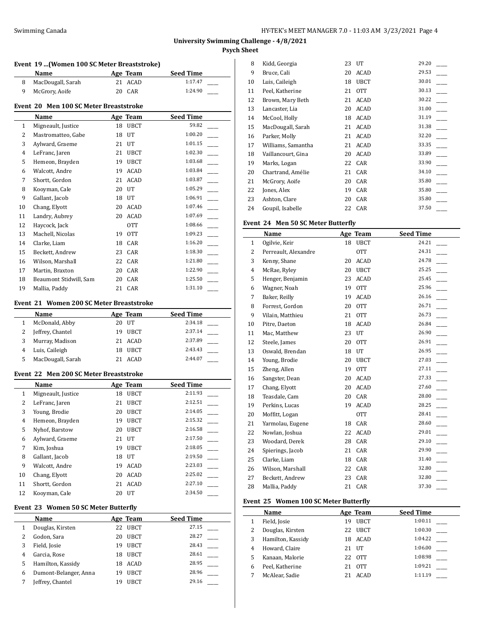l,

## **Event 19 ...(Women 100 SC Meter Breaststroke)**

| Name              | Age Team | <b>Seed Time</b> |
|-------------------|----------|------------------|
| MacDougall, Sarah | 21 ACAD  | 1:17.47          |
| McGrory, Aoife    | 20 CAR   | 1:24.90          |

### **Event 20 Men 100 SC Meter Breaststroke**

|                | Name                   |    | Age Team    | <b>Seed Time</b> |
|----------------|------------------------|----|-------------|------------------|
| $\mathbf{1}$   | Migneault, Justice     | 18 | <b>UBCT</b> | 59.82            |
| 2              | Mastromatteo, Gabe     | 18 | UT          | 1:00.20          |
| 3              | Aylward, Graeme        | 21 | UT          | 1:01.15          |
| $\overline{4}$ | LeFranc, Jaren         | 21 | <b>UBCT</b> | 1:02.30          |
| 5              | Hemeon, Brayden        | 19 | UBCT        | 1:03.68          |
| 6              | Walcott, Andre         | 19 | ACAD        | 1:03.84          |
| 7              | Shortt, Gordon         | 21 | ACAD        | 1:03.87          |
| 8              | Kooyman, Cale          | 20 | UT          | 1:05.29          |
| 9              | Gallant, Jacob         | 18 | UT          | 1:06.91          |
| 10             | Chang, Elyott          | 20 | ACAD        | 1:07.46          |
| 11             | Landry, Aubrey         | 20 | ACAD        | 1:07.69          |
| 12             | Haycock, Jack          |    | 0TT         | 1:08.66          |
| 13             | Machell, Nicolas       | 19 | <b>OTT</b>  | 1:09.23          |
| 14             | Clarke, Liam           | 18 | CAR         | 1:16.20          |
| 15             | Beckett, Andrew        | 23 | CAR         | 1:18.30          |
| 16             | Wilson, Marshall       | 22 | CAR         | 1:21.80          |
| 17             | Martin, Braxton        | 20 | CAR         | 1:22.90          |
| 18             | Beaumont Stidwill, Sam | 20 | CAR         | 1:25.50          |
| 19             | Mallia, Paddy          | 21 | CAR         | 1:31.10          |

#### **Event 21 Women 200 SC Meter Breaststroke**

| Name              |    | Age Team | <b>Seed Time</b> |
|-------------------|----|----------|------------------|
| McDonald, Abby    |    | 20 UT    | 2:34.18          |
| Jeffrey, Chantel  |    | 19 UBCT  | 2:37.14          |
| Murray, Madison   |    | 21 ACAD  | 2:37.89          |
| Luis, Caileigh    | 18 | UBCT     | 2:43.43          |
| MacDougall, Sarah |    | ACAD     | 2:44.07          |

## **Event 22 Men 200 SC Meter Breaststroke**

|    | Name               |    | Age Team        | <b>Seed Time</b> |
|----|--------------------|----|-----------------|------------------|
| 1  | Migneault, Justice | 18 | <b>UBCT</b>     | 2:11.93          |
| 2  | LeFranc, Jaren     | 21 | <b>UBCT</b>     | 2:12.51          |
| 3  | Young, Brodie      | 20 | <b>UBCT</b>     | 2:14.05          |
| 4  | Hemeon, Brayden    | 19 | <b>UBCT</b>     | 2:15.32          |
| 5  | Nyhof, Barstow     | 20 | <b>UBCT</b>     | 2:16.58          |
| 6  | Aylward, Graeme    | 21 | $_{\text{IIT}}$ | 2:17.50          |
| 7  | Kim, Joshua        | 19 | <b>UBCT</b>     | 2:18.05          |
| 8  | Gallant, Jacob     | 18 | UT              | 2:19.50          |
| 9  | Walcott, Andre     | 19 | <b>ACAD</b>     | 2:23.03          |
| 10 | Chang, Elyott      | 20 | ACAD            | 2:25.02          |
| 11 | Shortt, Gordon     | 21 | <b>ACAD</b>     | 2:27.10          |
| 12 | Kooyman, Cale      | 20 | UT              | 2:34.50          |

#### **Event 23 Women 50 SC Meter Butterfly**

|   | Name                  |    | Age Team    | <b>Seed Time</b> |
|---|-----------------------|----|-------------|------------------|
| 1 | Douglas, Kirsten      | 22 | <b>UBCT</b> | 27.15            |
| 2 | Godon, Sara           | 20 | <b>UBCT</b> | 28.27            |
| 3 | Field, Josie          | 19 | <b>UBCT</b> | 28.43            |
| 4 | Garcia, Rose          | 18 | <b>UBCT</b> | 28.61            |
| 5 | Hamilton, Kassidy     | 18 | ACAD        | 28.95            |
| 6 | Dumont-Belanger, Anna | 19 | <b>UBCT</b> | 28.96            |
|   | Jeffrey, Chantel      |    | <b>UBCT</b> | 29.16            |

| 8  | Kidd, Georgia      | 23 | UT          | 29.20 |
|----|--------------------|----|-------------|-------|
| 9  | Bruce, Cali        | 20 | ACAD        | 29.53 |
| 10 | Luis, Caileigh     | 18 | <b>UBCT</b> | 30.01 |
| 11 | Peel, Katherine    | 21 | 0TT         | 30.13 |
| 12 | Brown, Mary Beth   | 21 | <b>ACAD</b> | 30.22 |
| 13 | Lancaster, Lia     | 20 | ACAD        | 31.00 |
| 14 | McCool, Holly      | 18 | ACAD        | 31.19 |
| 15 | MacDougall, Sarah  | 21 | <b>ACAD</b> | 31.38 |
| 16 | Parker, Molly      | 21 | <b>ACAD</b> | 32.20 |
| 17 | Williams, Samantha | 21 | ACAD        | 33.35 |
| 18 | Vaillancourt, Gina | 20 | ACAD        | 33.89 |
| 19 | Marks, Logan       | 22 | CAR         | 33.90 |
| 20 | Chartrand, Amélie  | 21 | CAR         | 34.10 |
| 21 | McGrory, Aoife     | 20 | CAR         | 35.80 |
| 22 | Jones, Alex        | 19 | CAR         | 35.80 |
| 23 | Ashton, Clare      | 20 | CAR         | 35.80 |
| 24 | Goupil, Isabelle   | 22 | CAR         | 37.50 |

## **Event 24 Men 50 SC Meter Butterfly**

|                | Name                 |    | Age Team    | <b>Seed Time</b> |
|----------------|----------------------|----|-------------|------------------|
| $\mathbf{1}$   | Ogilvie, Keir        | 18 | <b>UBCT</b> | 24.21            |
| 2              | Perreault, Alexandre |    | <b>OTT</b>  | 24.31            |
| 3              | Kenny, Shane         | 20 | <b>ACAD</b> | 24.78            |
| $\overline{4}$ | McRae, Ryley         | 20 | <b>UBCT</b> | 25.25            |
| 5              | Henger, Benjamin     | 23 | ACAD        | 25.45            |
| 6              | Wagner, Noah         | 19 | <b>OTT</b>  | 25.96            |
| 7              | Baker, Reilly        | 19 | ACAD        | 26.16            |
| 8              | Forrest, Gordon      | 20 | <b>OTT</b>  | 26.71            |
| 9              | Vilain, Matthieu     | 21 | <b>OTT</b>  | 26.73            |
| 10             | Pitre, Daeton        | 18 | <b>ACAD</b> | 26.84            |
| 11             | Mac, Matthew         | 23 | UT          | 26.90            |
| 12             | Steele, James        | 20 | <b>OTT</b>  | 26.91            |
| 13             | Oswald, Brendan      | 18 | UT          | 26.95            |
| 14             | Young, Brodie        | 20 | <b>UBCT</b> | 27.03            |
| 15             | Zheng, Allen         | 19 | <b>OTT</b>  | 27.11            |
| 16             | Sangster, Dean       | 20 | <b>ACAD</b> | 27.33            |
| 17             | Chang, Elyott        | 20 | <b>ACAD</b> | 27.60            |
| 18             | Teasdale, Cam        | 20 | CAR         | 28.00            |
| 19             | Perkins, Lucas       | 19 | ACAD        | 28.25            |
| 20             | Moffitt, Logan       |    | 0TT         | 28.41            |
| 21             | Yarmolau, Eugene     | 18 | CAR         | 28.60            |
| 22             | Nowlan, Joshua       | 22 | ACAD        | 29.01            |
| 23             | Woodard, Derek       | 28 | CAR         | 29.10            |
| 24             | Spierings, Jacob     | 21 | CAR         | 29.90            |
| 25             | Clarke, Liam         | 18 | CAR         | 31.40            |
| 26             | Wilson, Marshall     | 22 | CAR         | 32.80            |
| 27             | Beckett, Andrew      | 23 | CAR         | 32.80            |
| 28             | Mallia, Paddy        | 21 | CAR         | 37.30            |
|                |                      |    |             |                  |

## **Event 25 Women 100 SC Meter Butterfly**

|   | Name              |    | Age Team    | <b>Seed Time</b> |
|---|-------------------|----|-------------|------------------|
|   | Field, Josie      | 19 | <b>UBCT</b> | 1:00.11          |
| 2 | Douglas, Kirsten  | 22 | <b>UBCT</b> | 1:00.30          |
| 3 | Hamilton, Kassidy | 18 | ACAD        | 1:04.22          |
| 4 | Howard, Claire    | 21 | UT          | 1:06.00          |
| 5 | Kanaan, Malorie   |    | 22 OTT      | 1:08.98          |
| 6 | Peel. Katherine   | 21 | 0TT         | 1:09.21          |
|   | McAlear, Sadie    |    | <b>ACAD</b> | 1:11.19          |
|   |                   |    |             |                  |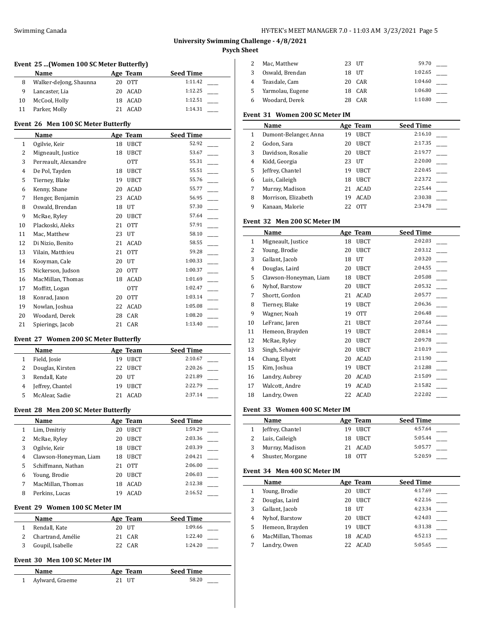$\overline{a}$ 

 $\overline{a}$ 

## **University Swimming Challenge - 4/8/2021 Psych Sheet**

## **Event 25 ...(Women 100 SC Meter Butterfly)**

|    | <b>Name</b>            | Age Team | <b>Seed Time</b> |
|----|------------------------|----------|------------------|
| 8  | Walker-deJong, Shaunna | 20 OTT   | 1:11.42          |
|    | Lancaster, Lia         | 20 ACAD  | 1:12.25          |
| 10 | McCool, Holly          | 18 ACAD  | 1:12.51          |
| 11 | Parker, Molly          | ACAD     | 1:14.31          |

#### **Event 26 Men 100 SC Meter Butterfly**

|    | Name                 |    | Age Team    | <b>Seed Time</b> |
|----|----------------------|----|-------------|------------------|
| 1  | Ogilvie, Keir        | 18 | <b>UBCT</b> | 52.92            |
| 2  | Migneault, Justice   | 18 | <b>UBCT</b> | 53.67            |
| 3  | Perreault, Alexandre |    | <b>OTT</b>  | 55.31            |
| 4  | De Pol, Tayden       | 18 | <b>UBCT</b> | 55.51            |
| 5  | Tierney, Blake       | 19 | <b>UBCT</b> | 55.76            |
| 6  | Kenny, Shane         | 20 | <b>ACAD</b> | 55.77            |
| 7  | Henger, Benjamin     | 23 | <b>ACAD</b> | 56.95            |
| 8  | Oswald, Brendan      | 18 | UT          | 57.30            |
| 9  | McRae, Ryley         | 20 | <b>UBCT</b> | 57.64            |
| 10 | Plackoski, Aleks     | 21 | <b>OTT</b>  | 57.91            |
| 11 | Mac, Matthew         | 23 | UT          | 58.10            |
| 12 | Di Nizio, Benito     | 21 | ACAD        | 58.55            |
| 13 | Vilain, Matthieu     | 21 | <b>OTT</b>  | 59.28            |
| 14 | Kooyman, Cale        | 20 | UT          | 1:00.33          |
| 15 | Nickerson, Judson    | 20 | <b>OTT</b>  | 1:00.37          |
| 16 | MacMillan, Thomas    | 18 | ACAD        | 1:01.69          |
| 17 | Moffitt, Logan       |    | <b>OTT</b>  | 1:02.47          |
| 18 | Konrad, Jaxon        | 20 | <b>OTT</b>  | 1:03.14          |
| 19 | Nowlan, Joshua       | 22 | <b>ACAD</b> | 1:05.08          |
| 20 | Woodard, Derek       | 28 | CAR         | 1:08.20          |
| 21 | Spierings, Jacob     | 21 | CAR         | 1:13.40          |

#### **Event 27 Women 200 SC Meter Butterfly**

|   | Name             |    | Age Team    | <b>Seed Time</b> |
|---|------------------|----|-------------|------------------|
|   | Field, Josie     | 19 | <b>UBCT</b> | 2:10.67          |
|   | Douglas, Kirsten | 22 | UBCT        | 2:20.26          |
| 3 | Rendall, Kate    |    | 20 UT       | 2:21.89          |
|   | Jeffrey, Chantel | 19 | <b>UBCT</b> | 2:22.79          |
|   | McAlear, Sadie   |    | ACAD        | 2:37.14          |
|   |                  |    |             |                  |

#### **Event 28 Men 200 SC Meter Butterfly**

|   | Name                              |    | Age Team    | <b>Seed Time</b> |
|---|-----------------------------------|----|-------------|------------------|
|   | Lim, Dmitriy                      | 20 | <b>UBCT</b> | 1:59.29          |
| 2 | McRae, Ryley                      | 20 | <b>UBCT</b> | 2:03.36          |
| 3 | Ogilvie, Keir                     | 18 | <b>UBCT</b> | 2:03.39          |
| 4 | Clawson-Honeyman, Liam            | 18 | <b>UBCT</b> | 2:04.21          |
| 5 | Schiffmann, Nathan                | 21 | 0TT         | 2:06.00          |
| 6 | Young, Brodie                     | 20 | <b>UBCT</b> | 2:06.03          |
| 7 | MacMillan, Thomas                 | 18 | <b>ACAD</b> | 2:12.38          |
| 8 | Perkins, Lucas                    | 19 | <b>ACAD</b> | 2:16.52          |
|   | Evant. 20 . Waman 100 SC Matar IM |    |             |                  |

#### **Event 29 Women 100 SC Meter IM**

| Name              |       | Age Team | <b>Seed Time</b> |  |
|-------------------|-------|----------|------------------|--|
| Rendall. Kate     | 20 UT |          | 1:09.66          |  |
| Chartrand, Amélie |       | 21 CAR   | 1:22.40          |  |
| Goupil, Isabelle  |       | 22 CAR   | 1:24.20          |  |

#### **Event 30 Men 100 SC Meter IM**

| Name            | Age Team | <b>Seed Time</b> |
|-----------------|----------|------------------|
| Aylward, Graeme | 21 IIT   | 58.20            |

|    | Mac, Matthew     | 23 UT  | 59.70   |  |
|----|------------------|--------|---------|--|
|    | Oswald, Brendan  | 18 UT  | 1:02.65 |  |
|    | Teasdale, Cam    | 20 CAR | 1:04.60 |  |
| 5. | Yarmolau, Eugene | 18 CAR | 1:06.80 |  |
| 6  | Woodard, Derek   | CAR    | 1:10.80 |  |

## **Event 31 Women 200 SC Meter IM**

|   | Name                  |    | Age Team    | <b>Seed Time</b> |
|---|-----------------------|----|-------------|------------------|
| 1 | Dumont-Belanger, Anna | 19 | <b>UBCT</b> | 2:16.10          |
| 2 | Godon, Sara           | 20 | <b>UBCT</b> | 2:17.35          |
| 3 | Davidson, Rosalie     | 20 | <b>UBCT</b> | 2:19.77          |
| 4 | Kidd, Georgia         | 23 | UT          | 2:20.00          |
| 5 | Jeffrey, Chantel      | 19 | <b>UBCT</b> | 2:20.45          |
| 6 | Luis, Caileigh        | 18 | <b>UBCT</b> | 2:23.72          |
| 7 | Murray, Madison       | 21 | <b>ACAD</b> | 2:25.44          |
| 8 | Morrison, Elizabeth   | 19 | <b>ACAD</b> | 2:30.38          |
| 9 | Kanaan, Malorie       | 22 | <b>OTT</b>  | 2:34.78          |

#### **Event 32 Men 200 SC Meter IM**

|              | Name                   |    | Age Team    | <b>Seed Time</b> |
|--------------|------------------------|----|-------------|------------------|
| $\mathbf{1}$ | Migneault, Justice     | 18 | UBCT        | 2:02.03          |
| 2            | Young, Brodie          | 20 | <b>UBCT</b> | 2:03.12          |
| 3            | Gallant, Jacob         | 18 | UT          | 2:03.20          |
| 4            | Douglas, Laird         | 20 | <b>UBCT</b> | 2:04.55          |
| 5            | Clawson-Honeyman, Liam | 18 | <b>UBCT</b> | 2:05.08          |
| 6            | Nyhof, Barstow         | 20 | <b>UBCT</b> | 2:05.32          |
| 7            | Shortt, Gordon         | 21 | ACAD        | 2:05.77          |
| 8            | Tierney, Blake         | 19 | <b>UBCT</b> | 2:06.36          |
| 9            | Wagner, Noah           | 19 | <b>OTT</b>  | 2:06.48          |
| 10           | LeFranc, Jaren         | 21 | <b>UBCT</b> | 2:07.64          |
| 11           | Hemeon, Brayden        | 19 | <b>UBCT</b> | 2:08.14          |
| 12           | McRae, Ryley           | 20 | <b>UBCT</b> | 2:09.78          |
| 13           | Singh, Sehajvir        | 20 | <b>UBCT</b> | 2:10.19          |
| 14           | Chang, Elyott          | 20 | ACAD        | 2:11.90          |
| 15           | Kim, Joshua            | 19 | <b>UBCT</b> | 2:12.88          |
| 16           | Landry, Aubrey         | 20 | ACAD        | 2:15.09          |
| 17           | Walcott, Andre         | 19 | ACAD        | 2:15.82          |
| 18           | Landry, Owen           | 22 | ACAD        | 2:22.02          |

## **Event 33 Women 400 SC Meter IM**

| <b>Name</b>      |     | Age Team | <b>Seed Time</b> |
|------------------|-----|----------|------------------|
| Jeffrey, Chantel |     | 19 UBCT  | 4:57.64          |
| Luis, Caileigh   |     | 18 UBCT  | 5:05.44          |
| Murray, Madison  |     | 21 ACAD  | 5:05.77          |
| Shuster, Morgane | 18. | 0TT      | 5:20.59          |

## **Event 34 Men 400 SC Meter IM**

|   | Name              |    | Age Team        | <b>Seed Time</b> |
|---|-------------------|----|-----------------|------------------|
|   | Young, Brodie     | 20 | <b>UBCT</b>     | 4:17.69          |
| 2 | Douglas, Laird    | 20 | <b>UBCT</b>     | 4:22.16          |
| 3 | Gallant, Jacob    | 18 | $_{\text{IIT}}$ | 4:23.34          |
| 4 | Nyhof, Barstow    | 20 | <b>UBCT</b>     | 4:24.03          |
| 5 | Hemeon, Brayden   | 19 | <b>UBCT</b>     | 4:31.38          |
| 6 | MacMillan, Thomas | 18 | ACAD            | 4:52.13          |
|   | Landry, Owen      | 22 | ACAD            | 5:05.65          |